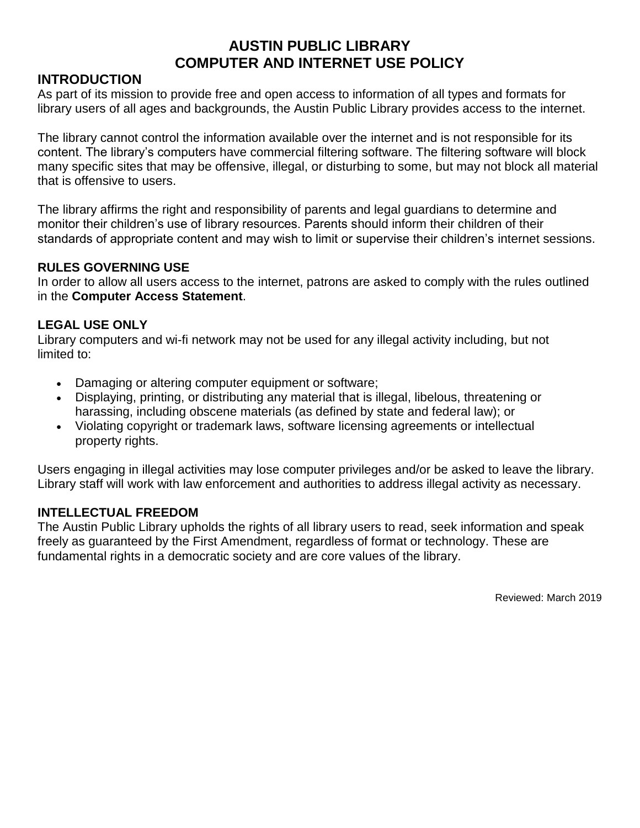# **AUSTIN PUBLIC LIBRARY COMPUTER AND INTERNET USE POLICY**

# **INTRODUCTION**

As part of its mission to provide free and open access to information of all types and formats for library users of all ages and backgrounds, the Austin Public Library provides access to the internet.

The library cannot control the information available over the internet and is not responsible for its content. The library's computers have commercial filtering software. The filtering software will block many specific sites that may be offensive, illegal, or disturbing to some, but may not block all material that is offensive to users.

The library affirms the right and responsibility of parents and legal guardians to determine and monitor their children's use of library resources. Parents should inform their children of their standards of appropriate content and may wish to limit or supervise their children's internet sessions.

## **RULES GOVERNING USE**

In order to allow all users access to the internet, patrons are asked to comply with the rules outlined in the **Computer Access Statement**.

## **LEGAL USE ONLY**

Library computers and wi-fi network may not be used for any illegal activity including, but not limited to:

- Damaging or altering computer equipment or software;
- Displaying, printing, or distributing any material that is illegal, libelous, threatening or harassing, including obscene materials (as defined by state and federal law); or
- Violating copyright or trademark laws, software licensing agreements or intellectual property rights.

Users engaging in illegal activities may lose computer privileges and/or be asked to leave the library. Library staff will work with law enforcement and authorities to address illegal activity as necessary.

### **INTELLECTUAL FREEDOM**

The Austin Public Library upholds the rights of all library users to read, seek information and speak freely as guaranteed by the First Amendment, regardless of format or technology. These are fundamental rights in a democratic society and are core values of the library.

Reviewed: March 2019